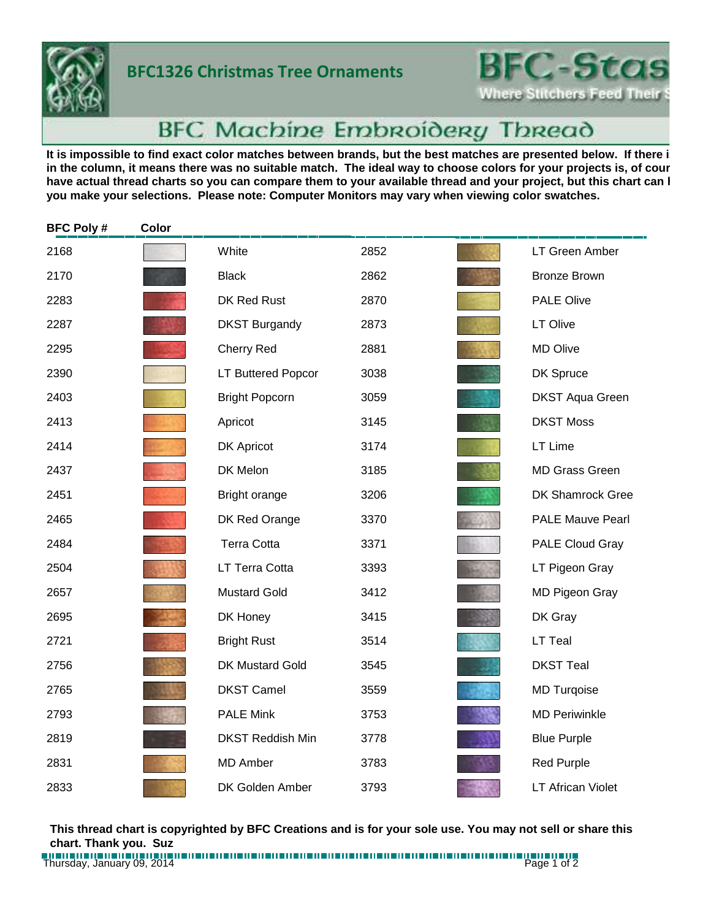

## **BFC1326 Christmas Tree Ornaments**

**BFC-Stas Where Stitchers Feed Their** 

## **BFC Machine Embroidery Thread**

It is impossible to find exact color matches between brands, but the best matches are presented below. If there i in the column, it means there was no suitable match. The ideal way to choose colors for your projects is, of cour have actual thread charts so you can compare them to your available thread and your project, but this chart can l **you make your selections. Please note: Computer Monitors may vary when viewing color swatches.**

| <b>BFC Poly#</b> | Color |                         |      |                          |
|------------------|-------|-------------------------|------|--------------------------|
| 2168             |       | White                   | 2852 | LT Green Amber           |
| 2170             |       | <b>Black</b>            | 2862 | <b>Bronze Brown</b>      |
| 2283             |       | DK Red Rust             | 2870 | <b>PALE Olive</b>        |
| 2287             |       | <b>DKST Burgandy</b>    | 2873 | LT Olive                 |
| 2295             |       | Cherry Red              | 2881 | <b>MD Olive</b>          |
| 2390             |       | LT Buttered Popcor      | 3038 | DK Spruce                |
| 2403             |       | <b>Bright Popcorn</b>   | 3059 | <b>DKST Aqua Green</b>   |
| 2413             |       | Apricot                 | 3145 | <b>DKST Moss</b>         |
| 2414             |       | <b>DK Apricot</b>       | 3174 | LT Lime                  |
| 2437             |       | DK Melon                | 3185 | <b>MD Grass Green</b>    |
| 2451             |       | Bright orange           | 3206 | DK Shamrock Gree         |
| 2465             |       | DK Red Orange           | 3370 | <b>PALE Mauve Pearl</b>  |
| 2484             |       | <b>Terra Cotta</b>      | 3371 | PALE Cloud Gray          |
| 2504             |       | LT Terra Cotta          | 3393 | LT Pigeon Gray           |
| 2657             |       | <b>Mustard Gold</b>     | 3412 | MD Pigeon Gray           |
| 2695             |       | DK Honey                | 3415 | DK Gray                  |
| 2721             |       | <b>Bright Rust</b>      | 3514 | LT Teal                  |
| 2756             |       | <b>DK Mustard Gold</b>  | 3545 | <b>DKST Teal</b>         |
| 2765             |       | <b>DKST Camel</b>       | 3559 | <b>MD Turqoise</b>       |
| 2793             |       | <b>PALE Mink</b>        | 3753 | <b>MD Periwinkle</b>     |
| 2819             |       | <b>DKST Reddish Min</b> | 3778 | <b>Blue Purple</b>       |
| 2831             |       | <b>MD Amber</b>         | 3783 | <b>Red Purple</b>        |
| 2833             |       | DK Golden Amber         | 3793 | <b>LT African Violet</b> |

**This thread chart is copyrighted by BFC Creations and is for your sole use. You may not sell or share this chart. Thank you. Suz**